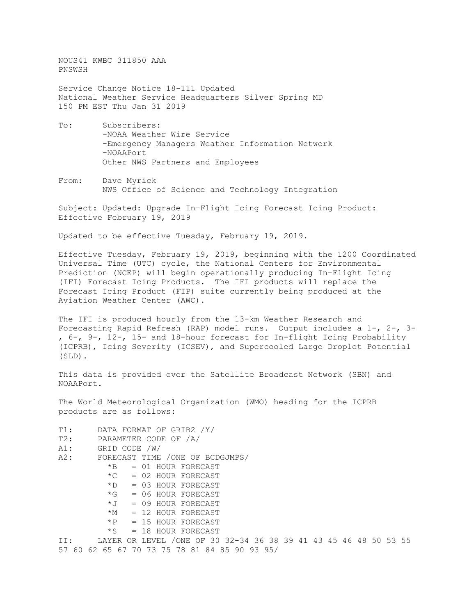NOUS41 KWBC 311850 AAA PNSWSH

Service Change Notice 18-111 Updated National Weather Service Headquarters Silver Spring MD 150 PM EST Thu Jan 31 2019

- To: Subscribers: -NOAA Weather Wire Service -Emergency Managers Weather Information Network -NOAAPort Other NWS Partners and Employees
- From: Dave Myrick NWS Office of Science and Technology Integration

Subject: Updated: Upgrade In-Flight Icing Forecast Icing Product: Effective February 19, 2019

Updated to be effective Tuesday, February 19, 2019.

Effective Tuesday, February 19, 2019, beginning with the 1200 Coordinated Universal Time (UTC) cycle, the National Centers for Environmental Prediction (NCEP) will begin operationally producing In-Flight Icing (IFI) Forecast Icing Products. The IFI products will replace the Forecast Icing Product (FIP) suite currently being produced at the Aviation Weather Center (AWC).

The IFI is produced hourly from the 13-km Weather Research and Forecasting Rapid Refresh (RAP) model runs. Output includes a 1-, 2-, 3- , 6-, 9-, 12-, 15- and 18-hour forecast for In-flight Icing Probability (ICPRB), Icing Severity (ICSEV), and Supercooled Large Droplet Potential (SLD).

This data is provided over the Satellite Broadcast Network (SBN) and NOAAPort.

The World Meteorological Organization (WMO) heading for the ICPRB products are as follows:

```
T1: DATA FORMAT OF GRIB2 /Y/<br>T2: PARAMETER CODE OF /A/
T2: PARAMETER CODE OF /A/<br>A1: GRID CODE /W/
A1: GRID CODE /W/<br>A2: FORECAST TIME
          FORECAST TIME /ONE OF BCDGJMPS/
              *B = 01 HOUR FORECAST<br>
*C = 02 HOUR FORECAST
              *C = 02 HOUR FORECAST<br>
*D = 03 HOUR FORECAST
              *D = 03 HOUR FORECAST<br>*G = 06 HOUR FORECAST
              *G = 06 HOUR FORECAST<br>*J = 09 HOUR FORECAST
              *J = 09 HOUR FORECAST<br>*M = 12 HOUR FORECAST
                   = 12 HOUR FORECAST
              *P = 15 HOUR FORECAST
              *S = 18 HOUR FORECAST
II: LAYER OR LEVEL /ONE OF 30 32-34 36 38 39 41 43 45 46 48 50 53 55 
57 60 62 65 67 70 73 75 78 81 84 85 90 93 95/
```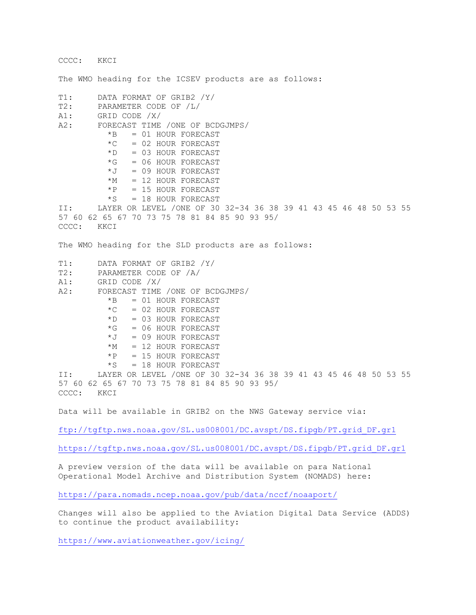```
CCCC: KKCI 
The WMO heading for the ICSEV products are as follows:
T1: DATA FORMAT OF GRIB2 /Y/<br>T2: PARAMETER CODE OF /L/
T2: PARAMETER CODE OF /L/<br>A1: GRID CODE /X/
A1: GRID CODE /X/<br>A2: FORECAST TIME
          FORECAST TIME /ONE OF BCDGJMPS/<br>*B = 01 HOUR FORECAST
             *B = 01 HOUR FORECAST<br> *C = 02 HOUR FORECAST
             *C = 02 HOUR FORECAST<br>*D = 03 HOUR FORECAST
                  = 03 HOUR FORECAST
             *G = 06 HOUR FORECAST
             *J = 09 HOUR FORECAST<br>*M = 12 HOUR FORECAST
             *M = 12 HOUR FORECAST<br>*P = 15 HOUR FORECAST
             *P = 15 HOUR FORECAST<br>*S = 18 HOUR FORECAST
                  = 18 HOUR FORECAST
II: LAYER OR LEVEL /ONE OF 30 32-34 36 38 39 41 43 45 46 48 50 53 55 
57 60 62 65 67 70 73 75 78 81 84 85 90 93 95/ 
CCCC: KKCI 
The WMO heading for the SLD products are as follows:
T1: DATA FORMAT OF GRIB2 /Y/<br>T2: PARAMETER CODE OF /A/
T2: PARAMETER CODE OF /A/<br>A1: GRID CODE /X/
A1: GRID CODE /X/<br>A2: FORECAST TIME
          FORECAST TIME /ONE OF BCDGJMPS/<br>*B = 01 HOUR FORECAST
                   = 01 HOUR FORECAST
             *C = 02 HOUR FORECAST
             *D = 03 HOUR FORECAST<br>*G = 06 HOUR FORECAST
             *G = 06 HOUR FORECAST<br>*J = 09 HOUR FORECAST
             *J = 09 HOUR FORECAST<br>*M = 12 HOUR FORECAST
             *M = 12 HOUR FORECAST<br>*P = 15 HOUR FORECAST
             *P = 15 HOUR FORECAST<br>*S = 18 HOUR FORECAST
                   = 18 HOUR FORECAST
II: LAYER OR LEVEL /ONE OF 30 32-34 36 38 39 41 43 45 46 48 50 53 55 
57 60 62 65 67 70 73 75 78 81 84 85 90 93 95/ 
CCCC:
Data will be available in GRIB2 on the NWS Gateway service via: 
ftp://tgftp.nws.noaa.gov/SL.us008001/DC.avspt/DS.fipgb/PT.grid_DF.gr1
https://tgftp.nws.noaa.gov/SL.us008001/DC.avspt/DS.fipgb/PT.grid_DF.gr1
```
A preview version of the data will be available on para National Operational Model Archive and Distribution System (NOMADS) here:

<https://para.nomads.ncep.noaa.gov/pub/data/nccf/noaaport/>

Changes will also be applied to the Aviation Digital Data Service (ADDS) to continue the product availability:

<https://www.aviationweather.gov/icing/>